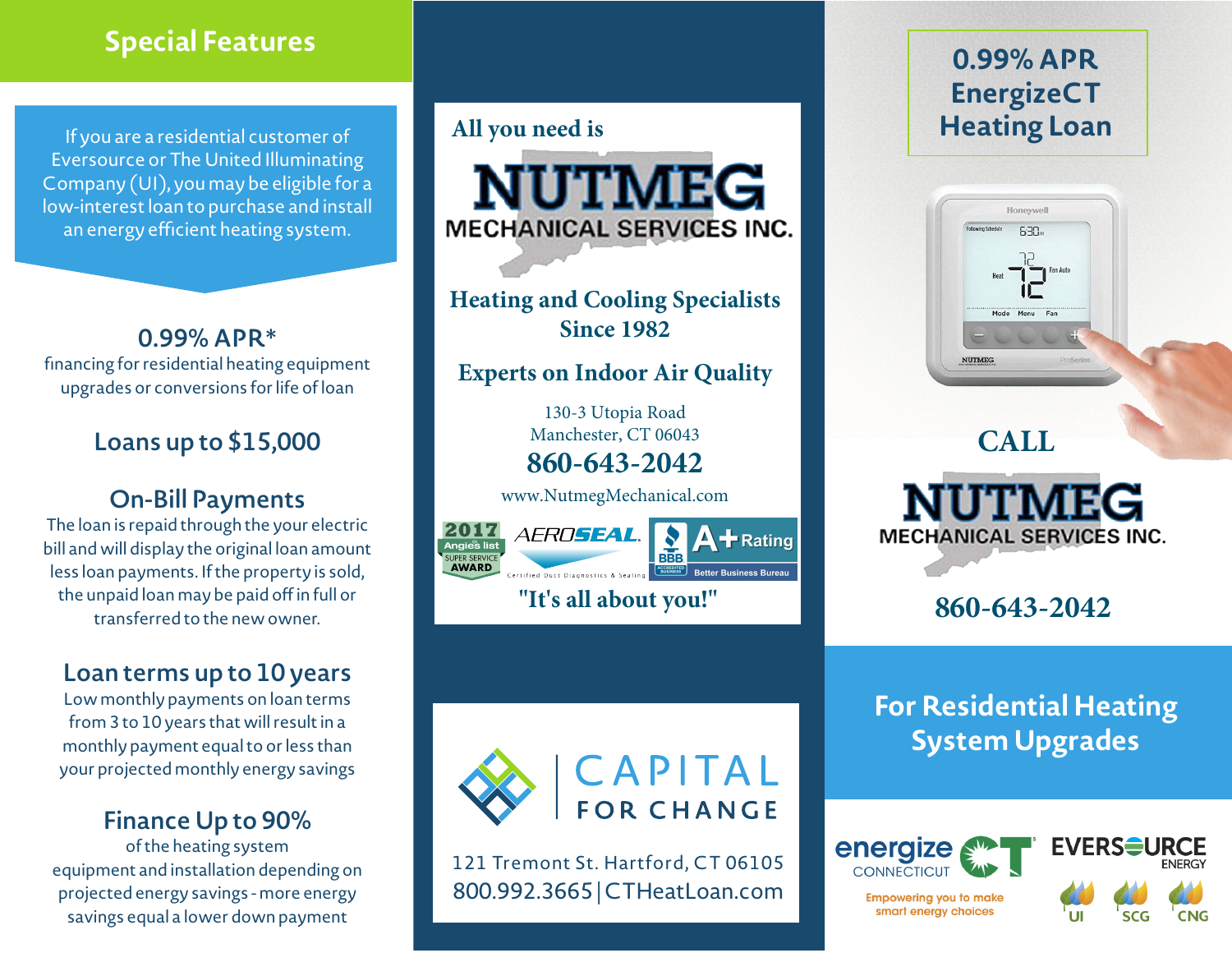# **Special Features**

If you are a residential customer of Eversource or The United Illuminating Company (UI), you may be eligible for a low-interest loan to purchase and install an energy efficient heating system.

**0.99% APR\***  financing for residential heating equipment upgrades or conversions for life of loan

# **Loans up to \$15,000**

# **On-Bill Payments**

The loan is repaid through the your electric bill and will display the original loan amount less loan payments. If the property is sold, the unpaid loan may be paid off in full or transferred to the new owner.

# **Loan terms up to 10 years**

Low monthly payments on loan terms from 3 to 10 years that will result in a monthly payment equal to or less than your projected monthly energy savings

## **Finance Up to 90%**

of the heating system equipment and installation depending on projected energy savings - more energy savings equal a lower down payment

# **All you need is**



**Heating and Cooling Specialists Since 1982**

### **Experts on Indoor Air Quality**

130-3 Utopia Road Manchester, CT 06043 **860-643-2042**

www.NutmegMechanical.com





**Rating** 

**"It's all about you!"**



121 Tremont St. Hartford, CT 06105 800.992.3665 | CTHeatLoan.com

# **0.99% APR EnergizeCT Heating Loan**